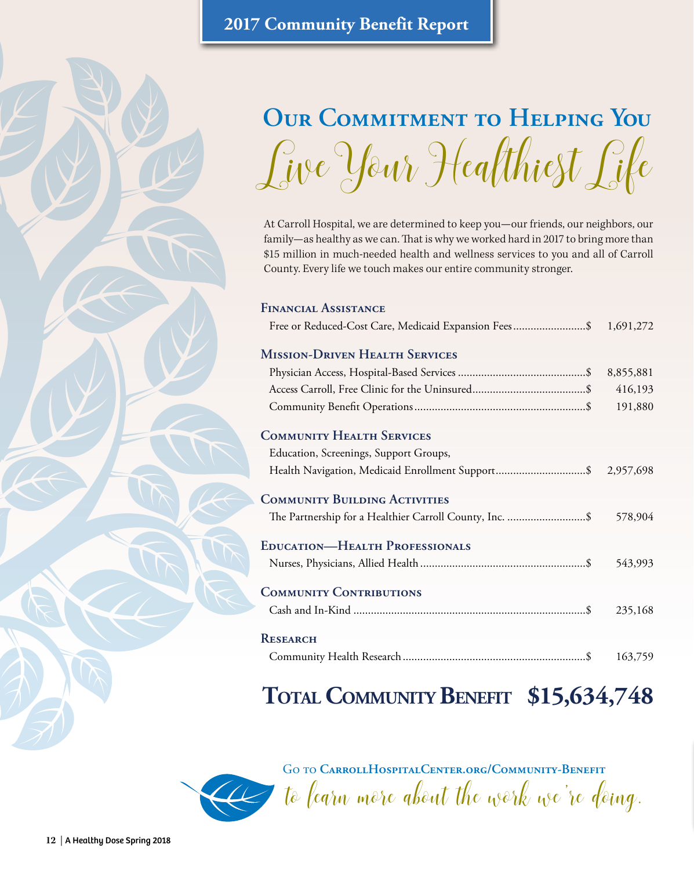# **Our Commitment to Helping You**  Live Your Healthiest Life

At Carroll Hospital, we are determined to keep you—our friends, our neighbors, our family—as healthy as we can. That is why we worked hard in 2017 to bring more than \$15 million in much-needed health and wellness services to you and all of Carroll County. Every life we touch makes our entire community stronger.

#### **Financial Assistance**

| Free or Reduced-Cost Care, Medicaid Expansion Fees\$ 1,691,272 |  |
|----------------------------------------------------------------|--|
|----------------------------------------------------------------|--|

### **Mission-Driven Health Services**

### **Community Health Services**

| COMMUNITY FIEALTH SERVICES                                      |         |
|-----------------------------------------------------------------|---------|
| Education, Screenings, Support Groups,                          |         |
| Health Navigation, Medicaid Enrollment Support\$ 2,957,698      |         |
| <b>COMMUNITY BUILDING ACTIVITIES</b>                            |         |
| The Partnership for a Healthier Carroll County, Inc. \$ 578,904 |         |
| <b>EDUCATION-HEALTH PROFESSIONALS</b>                           |         |
|                                                                 |         |
|                                                                 | 543,993 |
| <b>COMMUNITY CONTRIBUTIONS</b>                                  |         |
|                                                                 | 235,168 |
| <b>RESEARCH</b>                                                 |         |
|                                                                 |         |

| 163,759 |
|---------|

# **Total Community Benefit \$15,634,748**

Go to **[CarrollHospitalCenter.org/Community-Benefit](http://www.CarrollHospitalCenter.org/Community-Benefit)**

to learn more about the work we're doing.